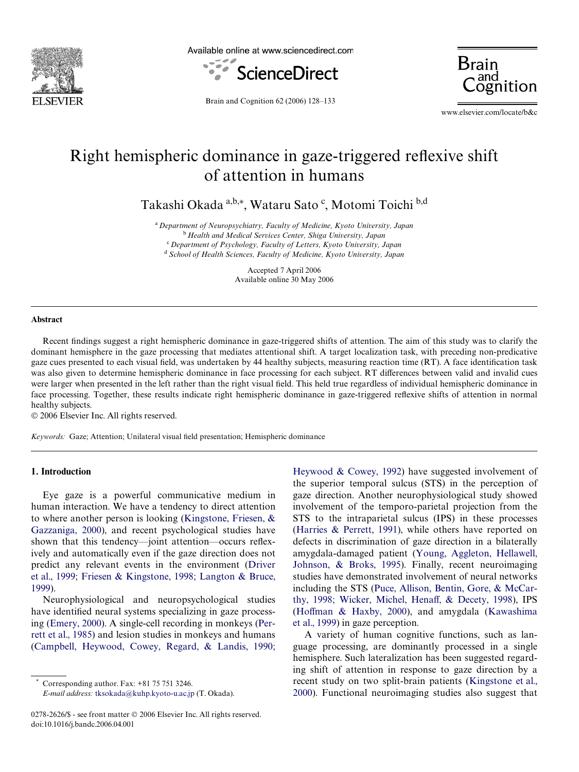

Available online at www.sciencedirect.com



Brain

Brain and Cognition 62 (2006) 128–133

www.elsevier.com/locate/b&c

# Right hemispheric dominance in gaze-triggered reflexive shift of attention in humans

Takashi Okada <sup>a,b,</sup>\*, Wataru Sato <sup>c</sup>, Motomi Toichi <sup>b,d</sup>

<sup>a</sup>*Department of Neuropsychiatry, Faculty of Medicine, Kyoto University, Japan* <sup>b</sup>*Health and Medical Services Center, Shiga University, Japan* <sup>c</sup>*Department of Psychology, Faculty of Letters, Kyoto University, Japan* <sup>d</sup>*School of Health Sciences, Faculty of Medicine, Kyoto University, Japan*

> Accepted 7 April 2006 Available online 30 May 2006

#### **Abstract**

Recent findings suggest a right hemispheric dominance in gaze-triggered shifts of attention. The aim of this study was to clarify the dominant hemisphere in the gaze processing that mediates attentional shift. A target localization task, with preceding non-predicative gaze cues presented to each visual field, was undertaken by 44 healthy subjects, measuring reaction time (RT). A face identification task was also given to determine hemispheric dominance in face processing for each subject. RT differences between valid and invalid cues were larger when presented in the left rather than the right visual field. This held true regardless of individual hemispheric dominance in face processing. Together, these results indicate right hemispheric dominance in gaze-triggered reflexive shifts of attention in normal healthy subjects.

© 2006 Elsevier Inc. All rights reserved.

*Keywords:* Gaze; Attention; Unilateral visual field presentation; Hemispheric dominance

## **1. Introduction**

Eye gaze is a powerful communicative medium in human interaction. We have a tendency to direct attention to where another person is looking [\(Kingstone, Friesen, &](#page-5-0) [Gazzaniga, 2000](#page-5-0)), and recent psychological studies have shown that this tendency-joint attention-occurs reflexively and automatically even if the gaze direction does not predict any relevant events in the environment [\(Driver](#page-5-1) [et al., 1999; Friesen & Kingstone, 1998; Langton & Bruce,](#page-5-1) [1999\)](#page-5-1).

Neurophysiological and neuropsychological studies have identified neural systems specializing in gaze processing [\(Emery, 2000](#page-5-2)). A single-cell recording in monkeys ([Per](#page-5-3)[rett et al., 1985\)](#page-5-3) and lesion studies in monkeys and humans [\(Campbell, Heywood, Cowey, Regard, & Landis, 1990;](#page-5-4)

*E-mail address:* [tksokada@kuhp.kyoto-u.ac.jp](mailto: tksokada@kuhp.kyoto-u.ac.jp) (T. Okada).

[Heywood & Cowey, 1992\)](#page-5-4) have suggested involvement of the superior temporal sulcus (STS) in the perception of gaze direction. Another neurophysiological study showed involvement of the temporo-parietal projection from the STS to the intraparietal sulcus (IPS) in these processes ([Harries & Perrett, 1991\)](#page-5-5), while others have reported on defects in discrimination of gaze direction in a bilaterally amygdala-damaged patient ([Young, Aggleton, Hellawell,](#page-5-6) [Johnson, & Broks, 1995](#page-5-6)). Finally, recent neuroimaging studies have demonstrated involvement of neural networks including the STS ([Puce, Allison, Bentin, Gore, & McCar](#page-5-7)[thy, 1998; Wicker, Michel, Hena](#page-5-7)ff,  $\&$  Decety, 1998), IPS ([Ho](#page-5-8)ff[man & Haxby, 2000](#page-5-8)), and amygdala ([Kawashima](#page-5-9) [et al., 1999\)](#page-5-9) in gaze perception.

A variety of human cognitive functions, such as language processing, are dominantly processed in a single hemisphere. Such lateralization has been suggested regarding shift of attention in response to gaze direction by a recent study on two split-brain patients ([Kingstone et al.,](#page-5-0) [2000](#page-5-0)). Functional neuroimaging studies also suggest that

Corresponding author. Fax:  $+81$  75 751 3246.

<sup>0278-2626/\$ -</sup> see front matter © 2006 Elsevier Inc. All rights reserved. doi:10.1016/j.bandc.2006.04.001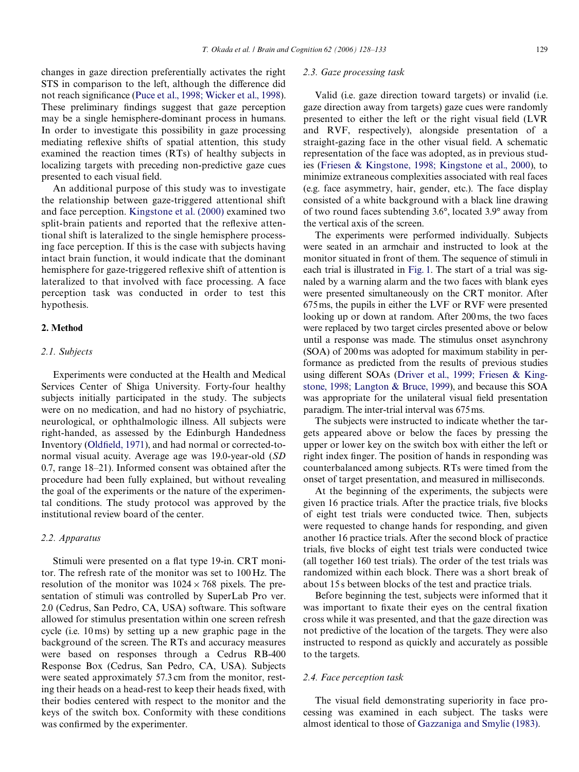changes in gaze direction preferentially activates the right STS in comparison to the left, although the difference did not reach significance [\(Puce et al., 1998; Wicker et al., 1998\)](#page-5-7). These preliminary findings suggest that gaze perception may be a single hemisphere-dominant process in humans. In order to investigate this possibility in gaze processing mediating reflexive shifts of spatial attention, this study examined the reaction times (RTs) of healthy subjects in localizing targets with preceding non-predictive gaze cues presented to each visual field.

An additional purpose of this study was to investigate the relationship between gaze-triggered attentional shift and face perception. [Kingstone et al. \(2000\)](#page-5-0) examined two split-brain patients and reported that the reflexive attentional shift is lateralized to the single hemisphere processing face perception. If this is the case with subjects having intact brain function, it would indicate that the dominant hemisphere for gaze-triggered reflexive shift of attention is lateralized to that involved with face processing. A face perception task was conducted in order to test this hypothesis.

#### **2. Method**

#### *2.1. Subjects*

Experiments were conducted at the Health and Medical Services Center of Shiga University. Forty-four healthy subjects initially participated in the study. The subjects were on no medication, and had no history of psychiatric, neurological, or ophthalmologic illness. All subjects were right-handed, as assessed by the Edinburgh Handedness Inventory [\(Old](#page-5-10)fi[eld, 1971\)](#page-5-10), and had normal or corrected-tonormal visual acuity. Average age was 19.0-year-old (*SD* 0.7, range 18–21). Informed consent was obtained after the procedure had been fully explained, but without revealing the goal of the experiments or the nature of the experimental conditions. The study protocol was approved by the institutional review board of the center.

#### *2.2. Apparatus*

Stimuli were presented on a flat type 19-in. CRT monitor. The refresh rate of the monitor was set to 100 Hz. The resolution of the monitor was  $1024 \times 768$  pixels. The presentation of stimuli was controlled by SuperLab Pro ver. 2.0 (Cedrus, San Pedro, CA, USA) software. This software allowed for stimulus presentation within one screen refresh cycle (i.e. 10 ms) by setting up a new graphic page in the background of the screen. The RTs and accuracy measures were based on responses through a Cedrus RB-400 Response Box (Cedrus, San Pedro, CA, USA). Subjects were seated approximately 57.3 cm from the monitor, resting their heads on a head-rest to keep their heads fixed, with their bodies centered with respect to the monitor and the keys of the switch box. Conformity with these conditions was confirmed by the experimenter.

## *2.3. Gaze processing task*

Valid (i.e. gaze direction toward targets) or invalid (i.e. gaze direction away from targets) gaze cues were randomly presented to either the left or the right visual field (LVR and RVF, respectively), alongside presentation of a straight-gazing face in the other visual field. A schematic representation of the face was adopted, as in previous studies ([Friesen & Kingstone, 1998; Kingstone et al., 2000](#page-5-11)), to minimize extraneous complexities associated with real faces (e.g. face asymmetry, hair, gender, etc.). The face display consisted of a white background with a black line drawing of two round faces subtending 3.6°, located 3.9° away from the vertical axis of the screen.

The experiments were performed individually. Subjects were seated in an armchair and instructed to look at the monitor situated in front of them. The sequence of stimuli in each trial is illustrated in [Fig. 1](#page-2-0). The start of a trial was signaled by a warning alarm and the two faces with blank eyes were presented simultaneously on the CRT monitor. After 675ms, the pupils in either the LVF or RVF were presented looking up or down at random. After 200ms, the two faces were replaced by two target circles presented above or below until a response was made. The stimulus onset asynchrony (SOA) of 200ms was adopted for maximum stability in performance as predicted from the results of previous studies using different SOAs ([Driver et al., 1999; Friesen & King](#page-5-1)[stone, 1998; Langton & Bruce, 1999](#page-5-1)), and because this SOA was appropriate for the unilateral visual field presentation paradigm. The inter-trial interval was 675ms.

The subjects were instructed to indicate whether the targets appeared above or below the faces by pressing the upper or lower key on the switch box with either the left or right index finger. The position of hands in responding was counterbalanced among subjects. RTs were timed from the onset of target presentation, and measured in milliseconds.

At the beginning of the experiments, the subjects were given 16 practice trials. After the practice trials, five blocks of eight test trials were conducted twice. Then, subjects were requested to change hands for responding, and given another 16 practice trials. After the second block of practice trials, five blocks of eight test trials were conducted twice (all together 160 test trials). The order of the test trials was randomized within each block. There was a short break of about 15 s between blocks of the test and practice trials.

Before beginning the test, subjects were informed that it was important to fixate their eyes on the central fixation cross while it was presented, and that the gaze direction was not predictive of the location of the targets. They were also instructed to respond as quickly and accurately as possible to the targets.

## *2.4. Face perception task*

The visual field demonstrating superiority in face processing was examined in each subject. The tasks were almost identical to those of [Gazzaniga and Smylie \(1983\)](#page-5-12).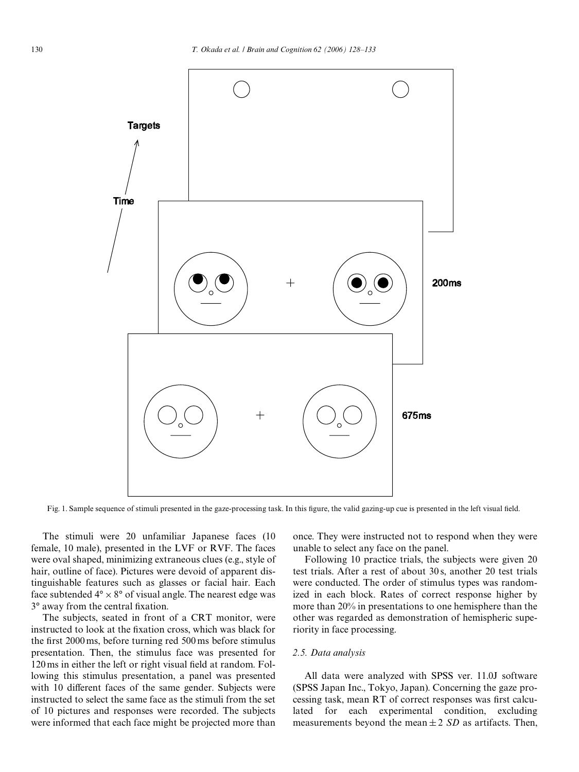

<span id="page-2-0"></span>Fig. 1. Sample sequence of stimuli presented in the gaze-processing task. In this figure, the valid gazing-up cue is presented in the left visual field.

The stimuli were 20 unfamiliar Japanese faces (10 female, 10 male), presented in the LVF or RVF. The faces were oval shaped, minimizing extraneous clues (e.g., style of hair, outline of face). Pictures were devoid of apparent distinguishable features such as glasses or facial hair. Each face subtended  $4^{\circ} \times 8^{\circ}$  of visual angle. The nearest edge was  $3^\circ$  away from the central fixation.

The subjects, seated in front of a CRT monitor, were instructed to look at the fixation cross, which was black for the first 2000 ms, before turning red 500 ms before stimulus presentation. Then, the stimulus face was presented for 120 ms in either the left or right visual field at random. Following this stimulus presentation, a panel was presented with 10 different faces of the same gender. Subjects were instructed to select the same face as the stimuli from the set of 10 pictures and responses were recorded. The subjects were informed that each face might be projected more than once. They were instructed not to respond when they were unable to select any face on the panel.

Following 10 practice trials, the subjects were given 20 test trials. After a rest of about 30 s, another 20 test trials were conducted. The order of stimulus types was randomized in each block. Rates of correct response higher by more than 20% in presentations to one hemisphere than the other was regarded as demonstration of hemispheric superiority in face processing.

## *2.5. Data analysis*

All data were analyzed with SPSS ver. 11.0J software (SPSS Japan Inc., Tokyo, Japan). Concerning the gaze processing task, mean RT of correct responses was first calculated for each experimental condition, excluding measurements beyond the mean  $\pm 2$  *SD* as artifacts. Then,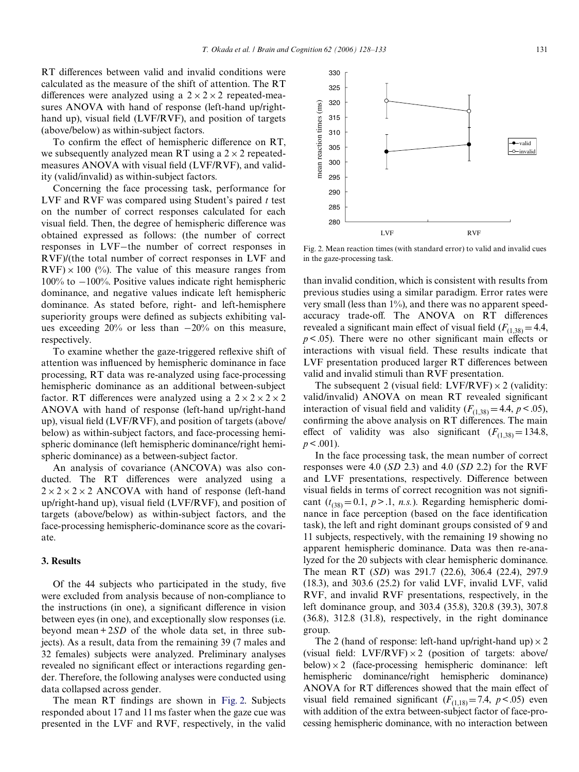330

RT differences between valid and invalid conditions were calculated as the measure of the shift of attention. The RT differences were analyzed using a  $2 \times 2 \times 2$  repeated-measures ANOVA with hand of response (left-hand up/righthand up), visual field (LVF/RVF), and position of targets (above/below) as within-subject factors.

To confirm the effect of hemispheric difference on RT, we subsequently analyzed mean RT using a  $2 \times 2$  repeatedmeasures ANOVA with visual field  $(LVF/RVF)$ , and validity (valid/invalid) as within-subject factors.

Concerning the face processing task, performance for LVF and RVF was compared using Student's paired *t* test on the number of correct responses calculated for each visual field. Then, the degree of hemispheric difference was obtained expressed as follows: (the number of correct responses in LVF-the number of correct responses in RVF)/(the total number of correct responses in LVF and  $RVF \times 100$  (%). The value of this measure ranges from  $100\%$  to  $-100\%$ . Positive values indicate right hemispheric dominance, and negative values indicate left hemispheric dominance. As stated before, right- and left-hemisphere superiority groups were defined as subjects exhibiting values exceeding  $20\%$  or less than  $-20\%$  on this measure, respectively.

To examine whether the gaze-triggered reflexive shift of attention was influenced by hemispheric dominance in face processing, RT data was re-analyzed using face-processing hemispheric dominance as an additional between-subject factor. RT differences were analyzed using a  $2 \times 2 \times 2 \times 2$ ANOVA with hand of response (left-hand up/right-hand up), visual field (LVF/RVF), and position of targets (above/ below) as within-subject factors, and face-processing hemispheric dominance (left hemispheric dominance/right hemispheric dominance) as a between-subject factor.

An analysis of covariance (ANCOVA) was also conducted. The RT differences were analyzed using a  $2 \times 2 \times 2 \times 2$  ANCOVA with hand of response (left-hand up/right-hand up), visual field (LVF/RVF), and position of targets (above/below) as within-subject factors, and the face-processing hemispheric-dominance score as the covariate.

## **3. Results**

Of the 44 subjects who participated in the study, five were excluded from analysis because of non-compliance to the instructions (in one), a significant difference in vision between eyes (in one), and exceptionally slow responses (i.e. beyond mean + 2*SD* of the whole data set, in three subjects). As a result, data from the remaining 39 (7 males and 32 females) subjects were analyzed. Preliminary analyses revealed no significant effect or interactions regarding gender. Therefore, the following analyses were conducted using data collapsed across gender.

The mean RT findings are shown in [Fig. 2.](#page-3-0) Subjects responded about 17 and 11 ms faster when the gaze cue was presented in the LVF and RVF, respectively, in the valid



<span id="page-3-0"></span>Fig. 2. Mean reaction times (with standard error) to valid and invalid cues in the gaze-processing task.

than invalid condition, which is consistent with results from previous studies using a similar paradigm. Error rates were very small (less than 1%), and there was no apparent speedaccuracy trade-off. The ANOVA on RT differences revealed a significant main effect of visual field  $(F_{(1,38)} = 4.4$ ,  $p < .05$ ). There were no other significant main effects or interactions with visual field. These results indicate that LVF presentation produced larger RT differences between valid and invalid stimuli than RVF presentation.

The subsequent 2 (visual field: LVF/RVF)  $\times$  2 (validity: valid/invalid) ANOVA on mean RT revealed significant interaction of visual field and validity  $(F_{(1,38)} = 4.4, p < .05)$ , confirming the above analysis on RT differences. The main effect of validity was also significant  $(F_{(1,38)} = 134.8$ ,  $p < .001$ ).

In the face processing task, the mean number of correct responses were 4.0 (*SD* 2.3) and 4.0 (*SD* 2.2) for the RVF and LVF presentations, respectively. Difference between visual fields in terms of correct recognition was not significant  $(t_{(38)} = 0.1, p > 0.1, n.s.$ ). Regarding hemispheric dominance in face perception (based on the face identification task), the left and right dominant groups consisted of 9 and 11 subjects, respectively, with the remaining 19 showing no apparent hemispheric dominance. Data was then re-analyzed for the 20 subjects with clear hemispheric dominance. The mean RT (*SD*) was 291.7 (22.6), 306.4 (22.4), 297.9 (18.3), and 303.6 (25.2) for valid LVF, invalid LVF, valid RVF, and invalid RVF presentations, respectively, in the left dominance group, and 303.4 (35.8), 320.8 (39.3), 307.8 (36.8), 312.8 (31.8), respectively, in the right dominance group.

The 2 (hand of response: left-hand up/right-hand up)  $\times$  2 (visual field: LVF/RVF) $\times$ 2 (position of targets: above/ below) $\times$ 2 (face-processing hemispheric dominance: left hemispheric dominance/right hemispheric dominance) ANOVA for RT differences showed that the main effect of visual field remained significant  $(F_{(1,18)} = 7.4, p < .05)$  even with addition of the extra between-subject factor of face-processing hemispheric dominance, with no interaction between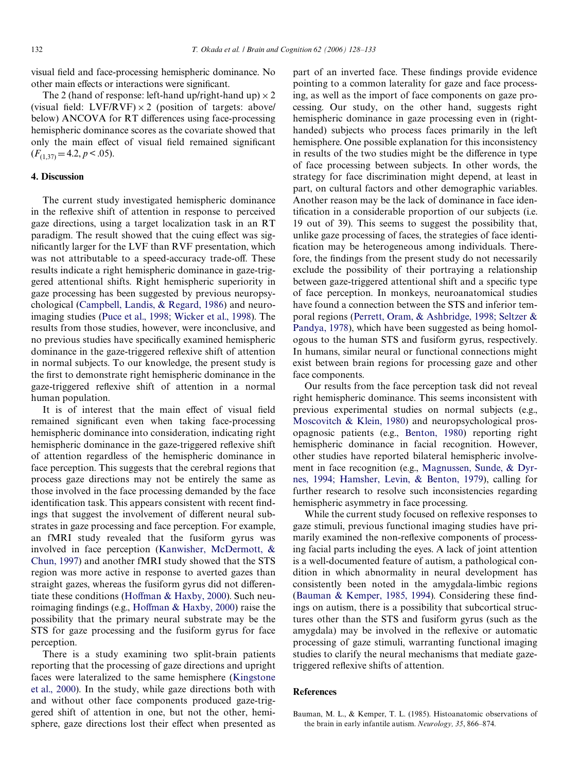visual field and face-processing hemispheric dominance. No other main effects or interactions were significant.

The 2 (hand of response: left-hand up/right-hand up)  $\times$  2 (visual field: LVF/RVF)  $\times$  2 (position of targets: above/ below) ANCOVA for RT differences using face-processing hemispheric dominance scores as the covariate showed that only the main effect of visual field remained significant  $(F_{(1,37)} = 4.2, p < .05).$ 

## **4. Discussion**

The current study investigated hemispheric dominance in the reflexive shift of attention in response to perceived gaze directions, using a target localization task in an RT paradigm. The result showed that the cuing effect was significantly larger for the LVF than RVF presentation, which was not attributable to a speed-accuracy trade-off. These results indicate a right hemispheric dominance in gaze-triggered attentional shifts. Right hemispheric superiority in gaze processing has been suggested by previous neuropsychological ([Campbell, Landis, & Regard, 1986\)](#page-5-13) and neuroimaging studies ([Puce et al., 1998; Wicker et al., 1998](#page-5-7)). The results from those studies, however, were inconclusive, and no previous studies have specifically examined hemispheric dominance in the gaze-triggered reflexive shift of attention in normal subjects. To our knowledge, the present study is the first to demonstrate right hemispheric dominance in the gaze-triggered reflexive shift of attention in a normal human population.

It is of interest that the main effect of visual field remained significant even when taking face-processing hemispheric dominance into consideration, indicating right hemispheric dominance in the gaze-triggered reflexive shift of attention regardless of the hemispheric dominance in face perception. This suggests that the cerebral regions that process gaze directions may not be entirely the same as those involved in the face processing demanded by the face identification task. This appears consistent with recent findings that suggest the involvement of different neural substrates in gaze processing and face perception. For example, an fMRI study revealed that the fusiform gyrus was involved in face perception [\(Kanwisher, McDermott, &](#page-5-14) [Chun, 1997\)](#page-5-14) and another fMRI study showed that the STS region was more active in response to averted gazes than straight gazes, whereas the fusiform gyrus did not differen-tiate these conditions [\(Ho](#page-5-8)ff[man & Haxby, 2000\)](#page-5-8). Such neu-roimaging findings (e.g., [Ho](#page-5-8)ffman  $&$  Haxby, 2000) raise the possibility that the primary neural substrate may be the STS for gaze processing and the fusiform gyrus for face perception.

There is a study examining two split-brain patients reporting that the processing of gaze directions and upright faces were lateralized to the same hemisphere [\(Kingstone](#page-5-0) [et al., 2000\)](#page-5-0). In the study, while gaze directions both with and without other face components produced gaze-triggered shift of attention in one, but not the other, hemisphere, gaze directions lost their effect when presented as

part of an inverted face. These findings provide evidence pointing to a common laterality for gaze and face processing, as well as the import of face components on gaze processing. Our study, on the other hand, suggests right hemispheric dominance in gaze processing even in (righthanded) subjects who process faces primarily in the left hemisphere. One possible explanation for this inconsistency in results of the two studies might be the difference in type of face processing between subjects. In other words, the strategy for face discrimination might depend, at least in part, on cultural factors and other demographic variables. Another reason may be the lack of dominance in face identification in a considerable proportion of our subjects (i.e. 19 out of 39). This seems to suggest the possibility that, unlike gaze processing of faces, the strategies of face identification may be heterogeneous among individuals. Therefore, the findings from the present study do not necessarily exclude the possibility of their portraying a relationship between gaze-triggered attentional shift and a specific type of face perception. In monkeys, neuroanatomical studies have found a connection between the STS and inferior temporal regions ([Perrett, Oram, & Ashbridge, 1998; Seltzer &](#page-5-15) [Pandya, 1978](#page-5-15)), which have been suggested as being homologous to the human STS and fusiform gyrus, respectively. In humans, similar neural or functional connections might exist between brain regions for processing gaze and other face components.

Our results from the face perception task did not reveal right hemispheric dominance. This seems inconsistent with previous experimental studies on normal subjects (e.g., [Moscovitch & Klein, 1980\)](#page-5-16) and neuropsychological prosopagnosic patients (e.g., [Benton, 1980](#page-5-17)) reporting right hemispheric dominance in facial recognition. However, other studies have reported bilateral hemispheric involvement in face recognition (e.g., [Magnussen, Sunde, & Dyr](#page-5-18)[nes, 1994; Hamsher, Levin, & Benton, 1979](#page-5-18)), calling for further research to resolve such inconsistencies regarding hemispheric asymmetry in face processing.

While the current study focused on reflexive responses to gaze stimuli, previous functional imaging studies have primarily examined the non-reflexive components of processing facial parts including the eyes. A lack of joint attention is a well-documented feature of autism, a pathological condition in which abnormality in neural development has consistently been noted in the amygdala-limbic regions ([Bauman & Kemper, 1985, 1994\)](#page-4-0). Considering these findings on autism, there is a possibility that subcortical structures other than the STS and fusiform gyrus (such as the amygdala) may be involved in the reflexive or automatic processing of gaze stimuli, warranting functional imaging studies to clarify the neural mechanisms that mediate gazetriggered reflexive shifts of attention.

#### **References**

<span id="page-4-0"></span>Bauman, M. L., & Kemper, T. L. (1985). Histoanatomic observations of the brain in early infantile autism. *Neurology, 35*, 866–874.